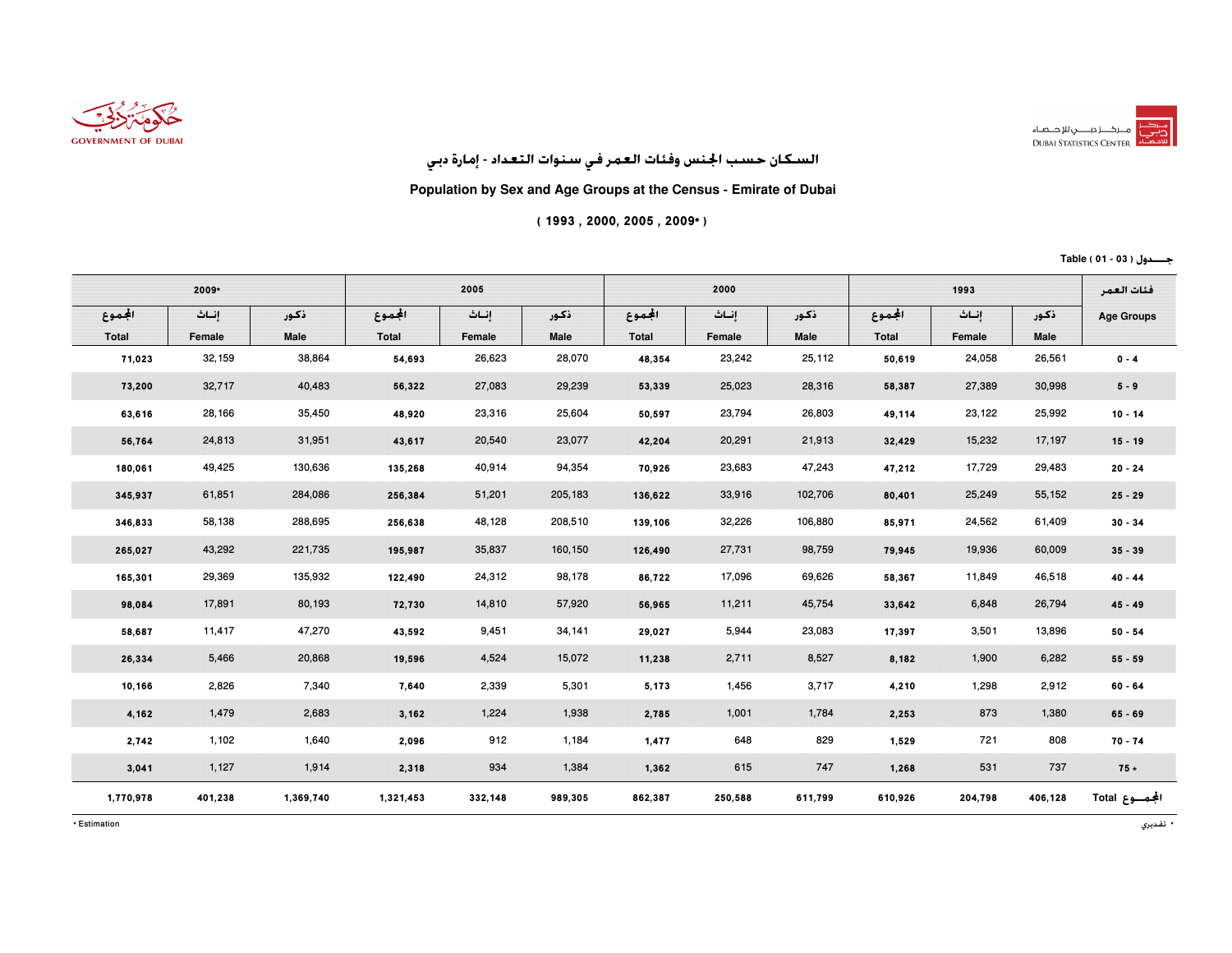



السكان حسب الجنس وفئات العمر في سنوات التعداد - إمارة دبي

Population by Sex and Age Groups at the Census - Emirate of Dubai

( 1993 , 2000, 2005 , 2009\* )

جـــدول ( 03 - 01 ) Table

| 2009*                  |                 |              | 2005                   |                 |              | 2000                   |                 |              | 1993                   |                 |              | فئات العمر        |
|------------------------|-----------------|--------------|------------------------|-----------------|--------------|------------------------|-----------------|--------------|------------------------|-----------------|--------------|-------------------|
| الجموع<br><b>Total</b> | إنساث<br>Female | ذكور<br>Male | الجموع<br><b>Total</b> | إنساث<br>Female | ذكور<br>Male | الجموع<br><b>Total</b> | إنساث<br>Female | ذكور<br>Male | الجموع<br><b>Total</b> | إنساث<br>Female | ذكور<br>Male | <b>Age Groups</b> |
| 71,023                 | 32,159          | 38,864       | 54,693                 | 26,623          | 28,070       | 48,354                 | 23,242          | 25,112       | 50,619                 | 24,058          | 26,561       | $0 - 4$           |
| 73,200                 | 32,717          | 40,483       | 56,322                 | 27,083          | 29,239       | 53,339                 | 25,023          | 28,316       | 58,387                 | 27,389          | 30,998       | $5 - 9$           |
| 63,616                 | 28,166          | 35,450       | 48,920                 | 23,316          | 25,604       | 50,597                 | 23,794          | 26,803       | 49,114                 | 23,122          | 25,992       | $10 - 14$         |
| 56,764                 | 24,813          | 31,951       | 43,617                 | 20,540          | 23,077       | 42,204                 | 20,291          | 21,913       | 32,429                 | 15,232          | 17, 197      | $15 - 19$         |
| 180,061                | 49,425          | 130,636      | 135,268                | 40,914          | 94,354       | 70,926                 | 23,683          | 47,243       | 47,212                 | 17,729          | 29,483       | $20 - 24$         |
| 345,937                | 61,851          | 284,086      | 256,384                | 51,201          | 205,183      | 136,622                | 33,916          | 102,706      | 80,401                 | 25,249          | 55, 152      | $25 - 29$         |
| 346,833                | 58,138          | 288,695      | 256,638                | 48,128          | 208,510      | 139,106                | 32,226          | 106,880      | 85,971                 | 24,562          | 61,409       | $30 - 34$         |
| 265,027                | 43,292          | 221,735      | 195,987                | 35,837          | 160,150      | 126,490                | 27,731          | 98,759       | 79,945                 | 19,936          | 60,009       | $35 - 39$         |
| 165,301                | 29,369          | 135,932      | 122,490                | 24,312          | 98,178       | 86,722                 | 17,096          | 69,626       | 58,367                 | 11,849          | 46,518       | $40 - 44$         |
| 98,084                 | 17,891          | 80,193       | 72,730                 | 14,810          | 57,920       | 56,965                 | 11,211          | 45,754       | 33,642                 | 6,848           | 26,794       | $45 - 49$         |
| 58,687                 | 11,417          | 47,270       | 43,592                 | 9,451           | 34,141       | 29,027                 | 5,944           | 23,083       | 17,397                 | 3,501           | 13,896       | $50 - 54$         |
| 26,334                 | 5,466           | 20,868       | 19,596                 | 4,524           | 15,072       | 11,238                 | 2,711           | 8,527        | 8,182                  | 1,900           | 6,282        | $55 - 59$         |
| 10,166                 | 2,826           | 7,340        | 7,640                  | 2,339           | 5,301        | 5,173                  | 1,456           | 3,717        | 4,210                  | 1,298           | 2,912        | $60 - 64$         |
| 4,162                  | 1,479           | 2,683        | 3,162                  | 1,224           | 1,938        | 2,785                  | 1,001           | 1,784        | 2,253                  | 873             | 1,380        | $65 - 69$         |
| 2,742                  | 1,102           | 1,640        | 2,096                  | 912             | 1,184        | 1,477                  | 648             | 829          | 1,529                  | 721             | 808          | $70 - 74$         |
| 3,041                  | 1,127           | 1,914        | 2,318                  | 934             | 1,384        | 1,362                  | 615             | 747          | 1,268                  | 531             | 737          | $75 +$            |
| 1,770,978              | 401,238         | 1,369,740    | 1,321,453              | 332,148         | 989,305      | 862,387                | 250,588         | 611,799      | 610,926                | 204,798         | 406,128      | المجمــوع Total   |

Estimation\*